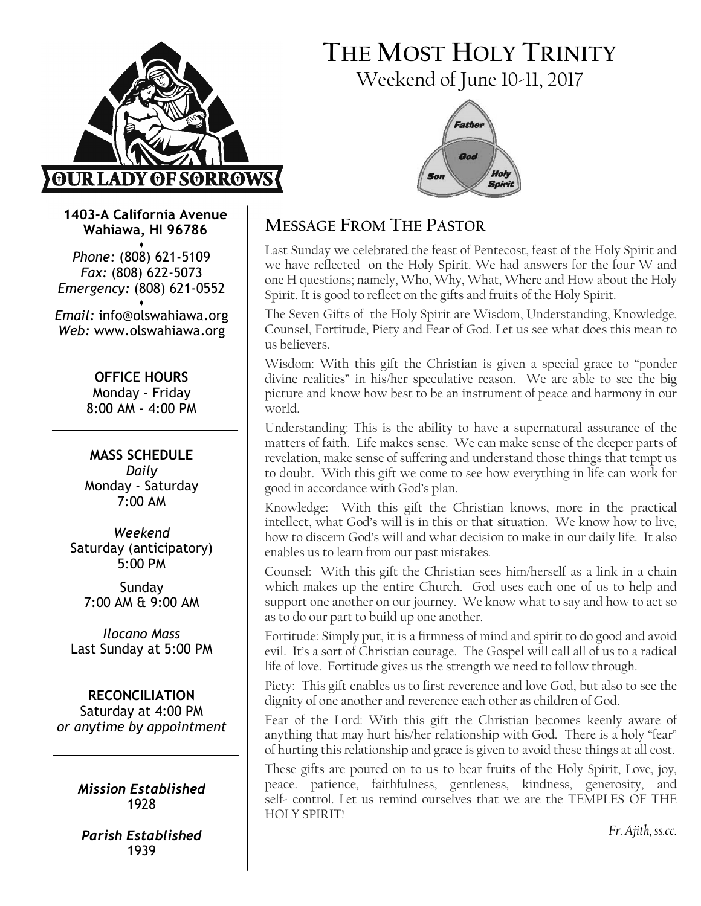

# THE MOST HOLY TRINITY Weekend of June 10-11, 2017



1403-A California Avenue Wahiawa, HI 96786

♦ Phone: (808) 621-5109 Fax: (808) 622-5073 Emergency: (808) 621-0552 ♦

Email: info@olswahiawa.org Web: www.olswahiawa.org

> OFFICE HOURS Monday - Friday 8:00 AM - 4:00 PM

MASS SCHEDULE Daily Monday - Saturday 7:00 AM

Weekend Saturday (anticipatory) 5:00 PM

Sunday 7:00 AM & 9:00 AM

Ilocano Mass Last Sunday at 5:00 PM

RECONCILIATION Saturday at 4:00 PM or anytime by appointment

> Mission Established 1928

Parish Established 1939

# MESSAGE FROM THE PASTOR

Last Sunday we celebrated the feast of Pentecost, feast of the Holy Spirit and we have reflected on the Holy Spirit. We had answers for the four W and one H questions; namely, Who, Why, What, Where and How about the Holy Spirit. It is good to reflect on the gifts and fruits of the Holy Spirit.

The Seven Gifts of the Holy Spirit are Wisdom, Understanding, Knowledge, Counsel, Fortitude, Piety and Fear of God. Let us see what does this mean to us believers.

Wisdom: With this gift the Christian is given a special grace to "ponder divine realities" in his/her speculative reason. We are able to see the big picture and know how best to be an instrument of peace and harmony in our world.

Understanding: This is the ability to have a supernatural assurance of the matters of faith. Life makes sense. We can make sense of the deeper parts of revelation, make sense of suffering and understand those things that tempt us to doubt. With this gift we come to see how everything in life can work for good in accordance with God's plan.

Knowledge: With this gift the Christian knows, more in the practical intellect, what God's will is in this or that situation. We know how to live, how to discern God's will and what decision to make in our daily life. It also enables us to learn from our past mistakes.

Counsel: With this gift the Christian sees him/herself as a link in a chain which makes up the entire Church. God uses each one of us to help and support one another on our journey. We know what to say and how to act so as to do our part to build up one another.

Fortitude: Simply put, it is a firmness of mind and spirit to do good and avoid evil. It's a sort of Christian courage. The Gospel will call all of us to a radical life of love. Fortitude gives us the strength we need to follow through.

Piety: This gift enables us to first reverence and love God, but also to see the dignity of one another and reverence each other as children of God.

Fear of the Lord: With this gift the Christian becomes keenly aware of anything that may hurt his/her relationship with God. There is a holy "fear" of hurting this relationship and grace is given to avoid these things at all cost.

These gifts are poured on to us to bear fruits of the Holy Spirit, Love, joy, peace. patience, faithfulness, gentleness, kindness, generosity, and self- control. Let us remind ourselves that we are the TEMPLES OF THE HOLY SPIRIT!

Fr. Ajith, ss.cc.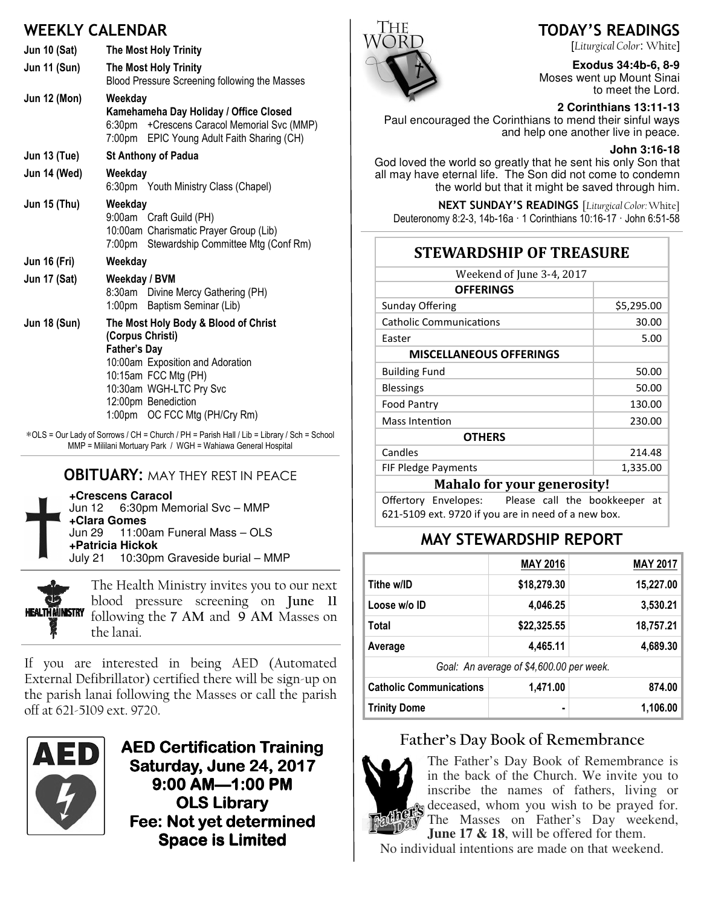# WEEKLY CALENDAR

| <b>Jun 10 (Sat)</b> | <b>The Most Holy Trinity</b>                                                                                                                                                                                                   |  |  |
|---------------------|--------------------------------------------------------------------------------------------------------------------------------------------------------------------------------------------------------------------------------|--|--|
| <b>Jun 11 (Sun)</b> | The Most Holy Trinity<br>Blood Pressure Screening following the Masses                                                                                                                                                         |  |  |
| <b>Jun 12 (Mon)</b> | Weekday<br>Kamehameha Day Holiday / Office Closed<br>6:30pm + Crescens Caracol Memorial Svc (MMP)<br>7:00pm EPIC Young Adult Faith Sharing (CH)                                                                                |  |  |
| <b>Jun 13 (Tue)</b> | St Anthony of Padua                                                                                                                                                                                                            |  |  |
| Jun 14 (Wed)        | Weekday<br>6:30pm Youth Ministry Class (Chapel)                                                                                                                                                                                |  |  |
| <b>Jun 15 (Thu)</b> | Weekdav<br>9:00am Craft Guild (PH)<br>10:00am Charismatic Prayer Group (Lib)<br>7:00pm Stewardship Committee Mtg (Conf Rm)                                                                                                     |  |  |
| <b>Jun 16 (Fri)</b> | Weekday                                                                                                                                                                                                                        |  |  |
| <b>Jun 17 (Sat)</b> | Weekday / BVM<br>8:30am Divine Mercy Gathering (PH)<br>1:00pm Baptism Seminar (Lib)                                                                                                                                            |  |  |
| <b>Jun 18 (Sun)</b> | The Most Holy Body & Blood of Christ<br>(Corpus Christi)<br><b>Father's Day</b><br>10:00am Exposition and Adoration<br>10:15am FCC Mtg (PH)<br>10:30am WGH-LTC Pry Svc<br>12:00pm Benediction<br>1:00pm OC FCC Mtg (PH/Cry Rm) |  |  |

∗OLS = Our Lady of Sorrows / CH = Church / PH = Parish Hall / Lib = Library / Sch = School MMP = Mililani Mortuary Park / WGH = Wahiawa General Hospital

#### **OBITUARY: MAY THEY REST IN PEACE**

**+Crescens Caracol** 6:30pm Memorial Svc – MMP **+Clara Gomes** 11:00am Funeral Mass - OLS **+Patricia Hickok** July 21 10:30pm Graveside burial – MMP



The Health Ministry invites you to our next blood pressure screening on June 11 following the 7 AM and 9 AM Masses on the lanai.

If you are interested in being AED (Automated External Defibrillator) certified there will be sign-up on the parish lanai following the Masses or call the parish off at 621-5109 ext. 9720.



AED Certification Training Saturday, June 24, 2017 9:00 AM-1:00 PM OLS Library Fee: Not yet determined Space is Limited



# TODAY'S READINGS

[Liturgical Color: White]

**Exodus 34:4b-6, 8-9**  Moses went up Mount Sinai to meet the Lord.

#### **2 Corinthians 13:11-13**

Paul encouraged the Corinthians to mend their sinful ways and help one another live in peace.

#### **John 3:16-18**

God loved the world so greatly that he sent his only Son that all may have eternal life. The Son did not come to condemn the world but that it might be saved through him.

NEXT SUNDAY'S READINGS [Liturgical Color: White]

Deuteronomy 8:2-3, 14b-16a · 1 Corinthians 10:16-17 · John 6:51-58

#### STEWARDSHIP OF TREASURE

| Weekend of June 3-4, 2017      |            |  |  |
|--------------------------------|------------|--|--|
| <b>OFFERINGS</b>               |            |  |  |
| <b>Sunday Offering</b>         | \$5,295.00 |  |  |
| <b>Catholic Communications</b> | 30.00      |  |  |
| Easter                         | 5.00       |  |  |
| <b>MISCELLANEOUS OFFERINGS</b> |            |  |  |
| <b>Building Fund</b>           | 50.00      |  |  |
| <b>Blessings</b>               | 50.00      |  |  |
| <b>Food Pantry</b>             | 130.00     |  |  |
| Mass Intention                 | 230.00     |  |  |
| <b>OTHERS</b>                  |            |  |  |
| Candles                        | 214.48     |  |  |
| <b>FIF Pledge Payments</b>     | 1,335.00   |  |  |
| $M - L - L - C - -$<br>----    |            |  |  |

#### Mahalo for your generosity!

Offertory Envelopes: Please call the bookkeeper at 621-5109 ext. 9720 if you are in need of a new box.

## MAY STEWARDSHIP REPORT

|                                          | <b>MAY 2016</b> | <b>MAY 2017</b> |  |  |
|------------------------------------------|-----------------|-----------------|--|--|
| Tithe w/ID                               | \$18,279.30     | 15,227.00       |  |  |
| Loose w/o ID                             | 4,046.25        | 3,530.21        |  |  |
| Total                                    | \$22,325.55     | 18,757.21       |  |  |
| Average                                  | 4,465.11        | 4,689.30        |  |  |
| Goal: An average of \$4,600.00 per week. |                 |                 |  |  |
| <b>Catholic Communications</b>           | 1,471.00        | 874.00          |  |  |

#### Father's Day Book of Remembrance

Trinity Dome 1,106.00



The Father's Day Book of Remembrance is in the back of the Church. We invite you to inscribe the names of fathers, living or  $\mathbf{\hat{s}}$  deceased, whom you wish to be prayed for. The Masses on Father's Day weekend, **June 17 & 18**, will be offered for them.

No individual intentions are made on that weekend.